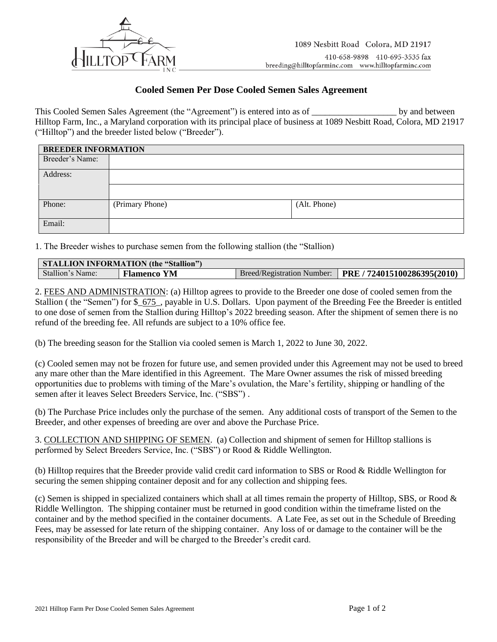

## **Cooled Semen Per Dose Cooled Semen Sales Agreement**

This Cooled Semen Sales Agreement (the "Agreement") is entered into as of \_\_\_\_\_\_\_\_\_\_\_\_\_\_\_\_\_\_\_\_\_\_\_\_ by and between Hilltop Farm, Inc., a Maryland corporation with its principal place of business at 1089 Nesbitt Road, Colora, MD 21917 ("Hilltop") and the breeder listed below ("Breeder").

| <b>BREEDER INFORMATION</b> |                 |              |  |
|----------------------------|-----------------|--------------|--|
| Breeder's Name:            |                 |              |  |
| Address:                   |                 |              |  |
|                            |                 |              |  |
| Phone:                     | (Primary Phone) | (Alt. Phone) |  |
| Email:                     |                 |              |  |

1. The Breeder wishes to purchase semen from the following stallion (the "Stallion)

| <b>STALLION INFORMATION (the "Stallion")</b> |                    |                            |                             |  |
|----------------------------------------------|--------------------|----------------------------|-----------------------------|--|
| Stallion's Name:                             | <b>Flamenco YM</b> | Breed/Registration Number: | PRE / 724015100286395(2010) |  |

2. FEES AND ADMINISTRATION: (a) Hilltop agrees to provide to the Breeder one dose of cooled semen from the Stallion ( the "Semen") for \$\_675\_, payable in U.S. Dollars. Upon payment of the Breeding Fee the Breeder is entitled to one dose of semen from the Stallion during Hilltop's 2022 breeding season. After the shipment of semen there is no refund of the breeding fee. All refunds are subject to a 10% office fee.

(b) The breeding season for the Stallion via cooled semen is March 1, 2022 to June 30, 2022.

(c) Cooled semen may not be frozen for future use, and semen provided under this Agreement may not be used to breed any mare other than the Mare identified in this Agreement. The Mare Owner assumes the risk of missed breeding opportunities due to problems with timing of the Mare's ovulation, the Mare's fertility, shipping or handling of the semen after it leaves Select Breeders Service, Inc. ("SBS") .

(b) The Purchase Price includes only the purchase of the semen. Any additional costs of transport of the Semen to the Breeder, and other expenses of breeding are over and above the Purchase Price.

3. COLLECTION AND SHIPPING OF SEMEN. (a) Collection and shipment of semen for Hilltop stallions is performed by Select Breeders Service, Inc. ("SBS") or Rood & Riddle Wellington.

(b) Hilltop requires that the Breeder provide valid credit card information to SBS or Rood & Riddle Wellington for securing the semen shipping container deposit and for any collection and shipping fees.

(c) Semen is shipped in specialized containers which shall at all times remain the property of Hilltop, SBS, or Rood  $\&$ Riddle Wellington. The shipping container must be returned in good condition within the timeframe listed on the container and by the method specified in the container documents. A Late Fee, as set out in the Schedule of Breeding Fees, may be assessed for late return of the shipping container. Any loss of or damage to the container will be the responsibility of the Breeder and will be charged to the Breeder's credit card.